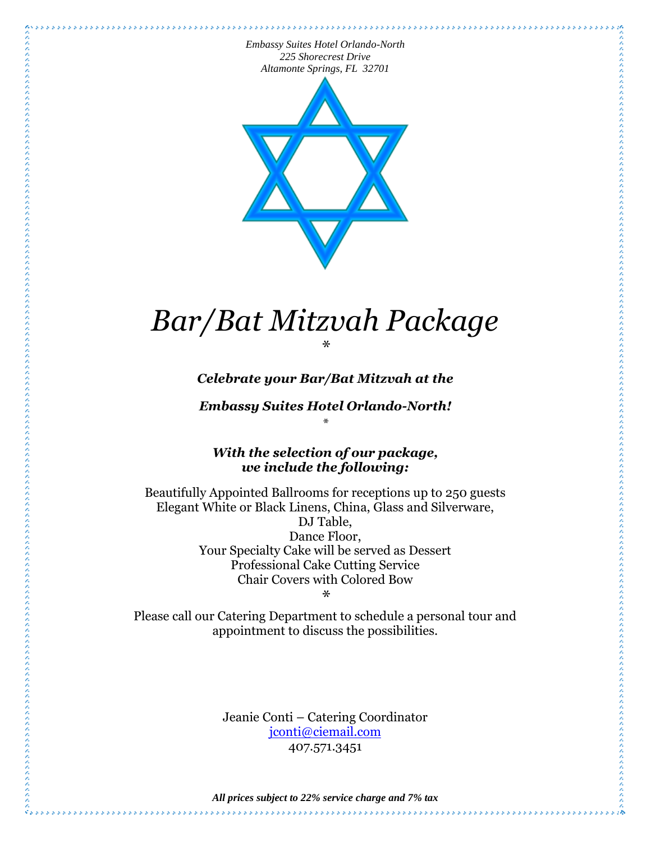\*\*\*\*\*\*\*\*\*\*\*\*\*\*\*



# *Bar/Bat Mitzvah Package \**

*Celebrate your Bar/Bat Mitzvah at the* 

*Embassy Suites Hotel Orlando-North! \**

*With the selection of our package, we include the following:*

Beautifully Appointed Ballrooms for receptions up to 250 guests Elegant White or Black Linens, China, Glass and Silverware, DJ Table, Dance Floor, Your Specialty Cake will be served as Dessert Professional Cake Cutting Service Chair Covers with Colored Bow

*\**

Please call our Catering Department to schedule a personal tour and appointment to discuss the possibilities.

> Jeanie Conti – Catering Coordinator [jconti@ciemail.com](mailto:jconti@ciemail.com) 407.571.3451

ĝ,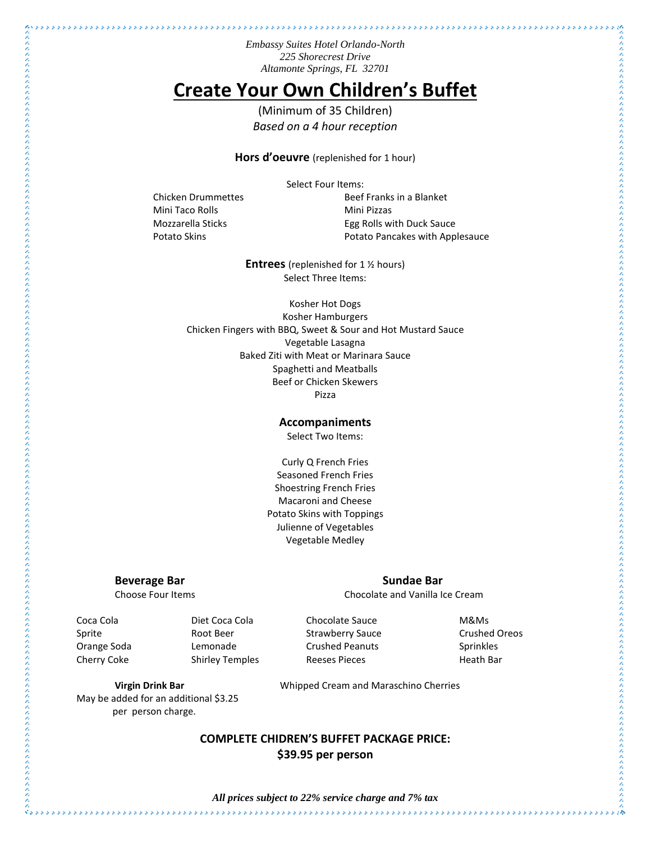# **Create Your Own Children's Buffet**

(Minimum of 35 Children) *Based on a 4 hour reception*

**Hors d'oeuvre** (replenished for 1 hour)

Select Four Items:

Mini Taco Rolls **Mini Pizzas** 

Chicken Drummettes **Beef Franks** in a Blanket Mozzarella Sticks **Egg Rolls with Duck Sauce** Potato Skins **Potato Pancakes with Applesauce** 

**Entrees** (replenished for 1 ½ hours) Select Three Items:

Kosher Hot Dogs Kosher Hamburgers Chicken Fingers with BBQ, Sweet & Sour and Hot Mustard Sauce Vegetable Lasagna Baked Ziti with Meat or Marinara Sauce Spaghetti and Meatballs Beef or Chicken Skewers Pizza

### **Accompaniments**

Select Two Items:

Curly Q French Fries Seasoned French Fries Shoestring French Fries Macaroni and Cheese Potato Skins with Toppings Julienne of Vegetables Vegetable Medley

#### **Beverage Bar Sundae Bar Sundae Bar**

Choose Four Items Chocolate and Vanilla Ice Cream

Orange Soda Lemonade Crushed Peanuts Sprinkles Cherry Coke Shirley Temples Beeses Pieces Reeses Aleath Bar

Coca Cola Diet Coca Cola Chocolate Sauce M&Ms Sprite **Subset Root Beer** Strawberry Sauce **Crushed Oreos** Crushed Oreos

外の大きな人とのたちのたちのことのたちのものものものものものものものもしろんとしたものとしたときにもとしてもとものとしてものとしろんとものものものものものものものものにものにもしろんとものものものもない しょうしょう

**Virgin Drink Bar** Whipped Cream and Maraschino Cherries

## **COMPLETE CHIDREN'S BUFFET PACKAGE PRICE: \$39.95 per person**

 $\hat{\mathcal{C}}_{\mathcal{S},\mathcal{S}}$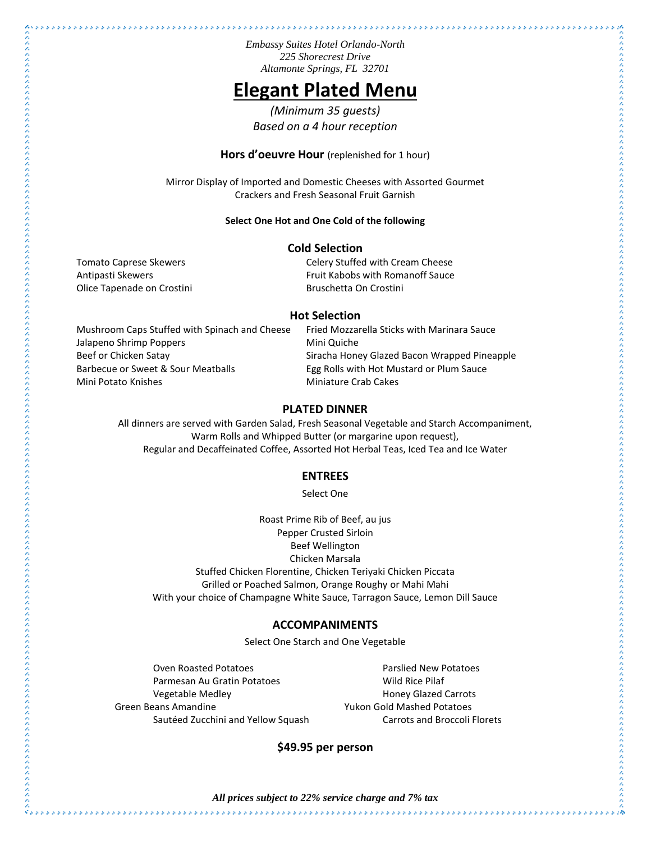## **Elegant Plated Menu**

*(Minimum 35 guests) Based on a 4 hour reception*

**Hors d'oeuvre Hour** (replenished for 1 hour)

Mirror Display of Imported and Domestic Cheeses with Assorted Gourmet Crackers and Fresh Seasonal Fruit Garnish

#### **Select One Hot and One Cold of the following**

#### **Cold Selection**

Tomato Caprese Skewers **Celery Stuffed with Cream Cheese** Antipasti Skewers **Fruit Kabobs with Romanoff Sauce** Fruit Kabobs with Romanoff Sauce Olice Tapenade on Crostini and Bruschetta On Crostini

#### **Hot Selection**

Mushroom Caps Stuffed with Spinach and Cheese Fried Mozzarella Sticks with Marinara Sauce Jalapeno Shrimp Poppers Mini Quiche Beef or Chicken Satay Theorem Siracha Honey Glazed Bacon Wrapped Pineapple Barbecue or Sweet & Sour Meatballs Egg Rolls with Hot Mustard or Plum Sauce Mini Potato Knishes **Miniature Crab Cakes** 

### **PLATED DINNER**

All dinners are served with Garden Salad, Fresh Seasonal Vegetable and Starch Accompaniment, Warm Rolls and Whipped Butter (or margarine upon request), Regular and Decaffeinated Coffee, Assorted Hot Herbal Teas, Iced Tea and Ice Water

#### **ENTREES**

Select One

Roast Prime Rib of Beef, au jus Pepper Crusted Sirloin Beef Wellington Chicken Marsala Stuffed Chicken Florentine, Chicken Teriyaki Chicken Piccata Grilled or Poached Salmon, Orange Roughy or Mahi Mahi With your choice of Champagne White Sauce, Tarragon Sauce, Lemon Dill Sauce

#### **ACCOMPANIMENTS**

Select One Starch and One Vegetable

Oven Roasted Potatoes **Parslied New Potatoes** Parmesan Au Gratin Potatoes Mild Rice Pilaf Vegetable Medley **Manufather Carrots** Honey Glazed Carrots Green Beans Amandine The Controller Studies of Muslim Pulsa and Muslim Potatoes

Sautéed Zucchini and Yellow Squash Carrots and Broccoli Florets

### **\$49.95 per person**

 $\hat{\mathcal{C}}_{\mathcal{S},\mathcal{S}}$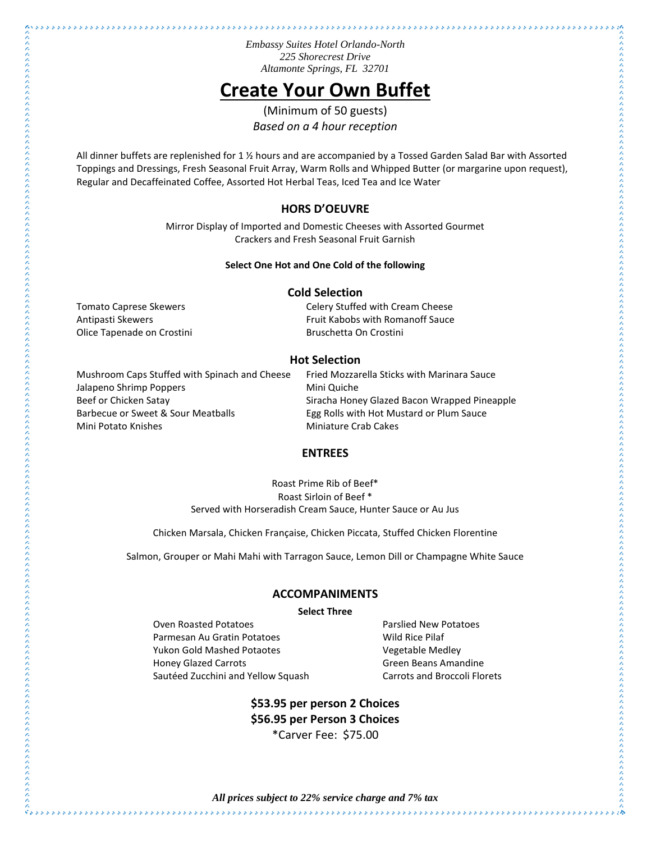# **Create Your Own Buffet**

(Minimum of 50 guests) *Based on a 4 hour reception*

All dinner buffets are replenished for 1  $\frac{1}{2}$  hours and are accompanied by a Tossed Garden Salad Bar with Assorted Toppings and Dressings, Fresh Seasonal Fruit Array, Warm Rolls and Whipped Butter (or margarine upon request), Regular and Decaffeinated Coffee, Assorted Hot Herbal Teas, Iced Tea and Ice Water

#### **HORS D'OEUVRE**

Mirror Display of Imported and Domestic Cheeses with Assorted Gourmet Crackers and Fresh Seasonal Fruit Garnish

#### **Select One Hot and One Cold of the following**

#### **Cold Selection**

Olice Tapenade on Crostini and Bruschetta On Crostini

 $\hat{z}_{ss}$ 

Tomato Caprese Skewers **Celery Stuffed with Cream Cheese** Antipasti Skewers **Fruit Kabobs with Romanoff Sauce** 

#### **Hot Selection**

Mushroom Caps Stuffed with Spinach and Cheese Fried Mozzarella Sticks with Marinara Sauce Jalapeno Shrimp Poppers Mini Quiche Beef or Chicken Satay Siracha Honey Glazed Bacon Wrapped Pineapple Barbecue or Sweet & Sour Meatballs Egg Rolls with Hot Mustard or Plum Sauce Mini Potato Knishes **Miniature Crab Cakes** 

#### **ENTREES**

Roast Prime Rib of Beef\* Roast Sirloin of Beef \* Served with Horseradish Cream Sauce, Hunter Sauce or Au Jus

Chicken Marsala, Chicken Française, Chicken Piccata, Stuffed Chicken Florentine

Salmon, Grouper or Mahi Mahi with Tarragon Sauce, Lemon Dill or Champagne White Sauce

#### **ACCOMPANIMENTS**

**Select Three**

Oven Roasted Potatoes Parslied New Potatoes Parmesan Au Gratin Potatoes Manuel And Mild Rice Pilaf Yukon Gold Mashed Potaotes Vegetable Medley Honey Glazed Carrots Green Beans Amandine Sautéed Zucchini and Yellow Squash Carrots and Broccoli Florets

## **\$53.95 per person 2 Choices \$56.95 per Person 3 Choices** \*Carver Fee: \$75.00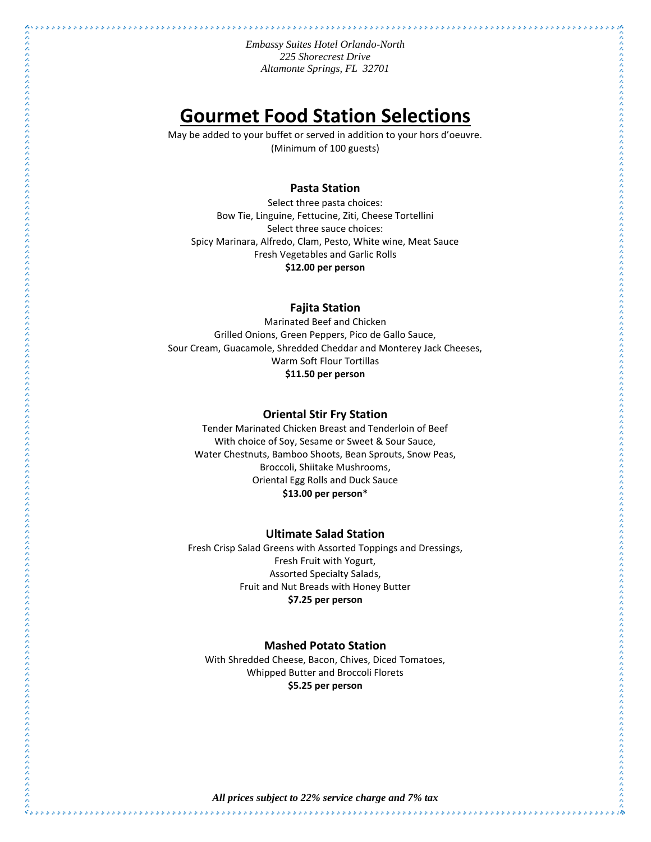## **Gourmet Food Station Selections**

May be added to your buffet or served in addition to your hors d'oeuvre. (Minimum of 100 guests)

### **Pasta Station**

Select three pasta choices: Bow Tie, Linguine, Fettucine, Ziti, Cheese Tortellini Select three sauce choices: Spicy Marinara, Alfredo, Clam, Pesto, White wine, Meat Sauce Fresh Vegetables and Garlic Rolls **\$12.00 per person**

#### **Fajita Station**

Marinated Beef and Chicken Grilled Onions, Green Peppers, Pico de Gallo Sauce, Sour Cream, Guacamole, Shredded Cheddar and Monterey Jack Cheeses, Warm Soft Flour Tortillas **\$11.50 per person**

#### **Oriental Stir Fry Station**

 $\hat{z}_{ss}$ 

Tender Marinated Chicken Breast and Tenderloin of Beef With choice of Soy, Sesame or Sweet & Sour Sauce, Water Chestnuts, Bamboo Shoots, Bean Sprouts, Snow Peas, Broccoli, Shiitake Mushrooms, Oriental Egg Rolls and Duck Sauce **\$13.00 per person\***

#### **Ultimate Salad Station**

Fresh Crisp Salad Greens with Assorted Toppings and Dressings, Fresh Fruit with Yogurt, Assorted Specialty Salads, Fruit and Nut Breads with Honey Butter **\$7.25 per person**

#### **Mashed Potato Station**

With Shredded Cheese, Bacon, Chives, Diced Tomatoes, Whipped Butter and Broccoli Florets **\$5.25 per person**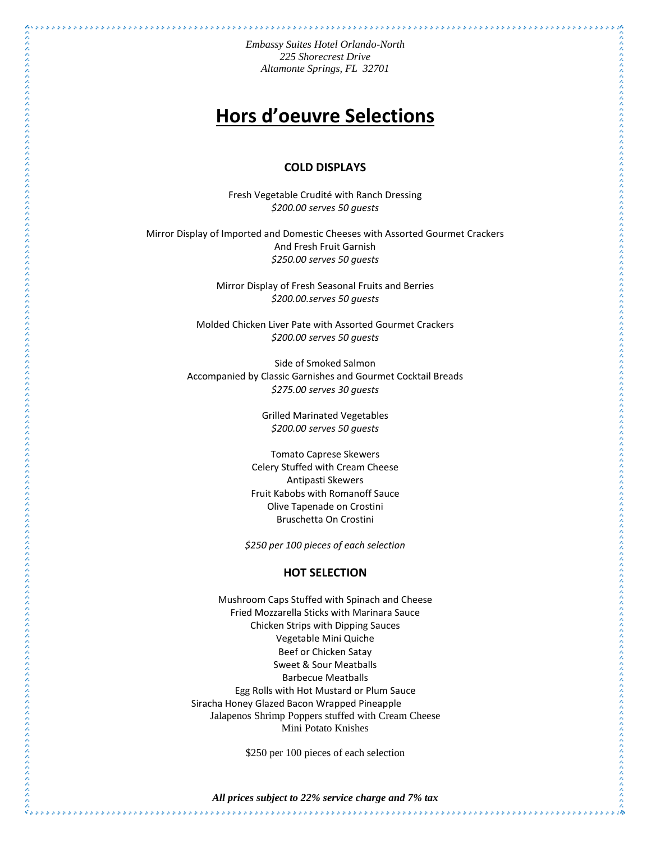\*\*\*\*\*\*\*\*\*\*\*\*\*\*\*\*\*\*\*\*\*\*\*\*\*\*\*\*\*\*\*\*\*\*\*\*\*

# **Hors d'oeuvre Selections**

#### **COLD DISPLAYS**

Fresh Vegetable Crudité with Ranch Dressing *\$200.00 serves 50 guests*

Mirror Display of Imported and Domestic Cheeses with Assorted Gourmet Crackers And Fresh Fruit Garnish *\$250.00 serves 50 guests*

> Mirror Display of Fresh Seasonal Fruits and Berries *\$200.00.serves 50 guests*

Molded Chicken Liver Pate with Assorted Gourmet Crackers *\$200.00 serves 50 guests*

Side of Smoked Salmon Accompanied by Classic Garnishes and Gourmet Cocktail Breads *\$275.00 serves 30 guests*

> Grilled Marinated Vegetables *\$200.00 serves 50 guests*

 $\hat{v}_{\kappa\kappa}$ 

Tomato Caprese Skewers Celery Stuffed with Cream Cheese Antipasti Skewers Fruit Kabobs with Romanoff Sauce Olive Tapenade on Crostini Bruschetta On Crostini

*\$250 per 100 pieces of each selection*

### **HOT SELECTION**

Mushroom Caps Stuffed with Spinach and Cheese Fried Mozzarella Sticks with Marinara Sauce Chicken Strips with Dipping Sauces Vegetable Mini Quiche Beef or Chicken Satay Sweet & Sour Meatballs Barbecue Meatballs Egg Rolls with Hot Mustard or Plum Sauce Siracha Honey Glazed Bacon Wrapped Pineapple Jalapenos Shrimp Poppers stuffed with Cream Cheese Mini Potato Knishes

\$250 per 100 pieces of each selection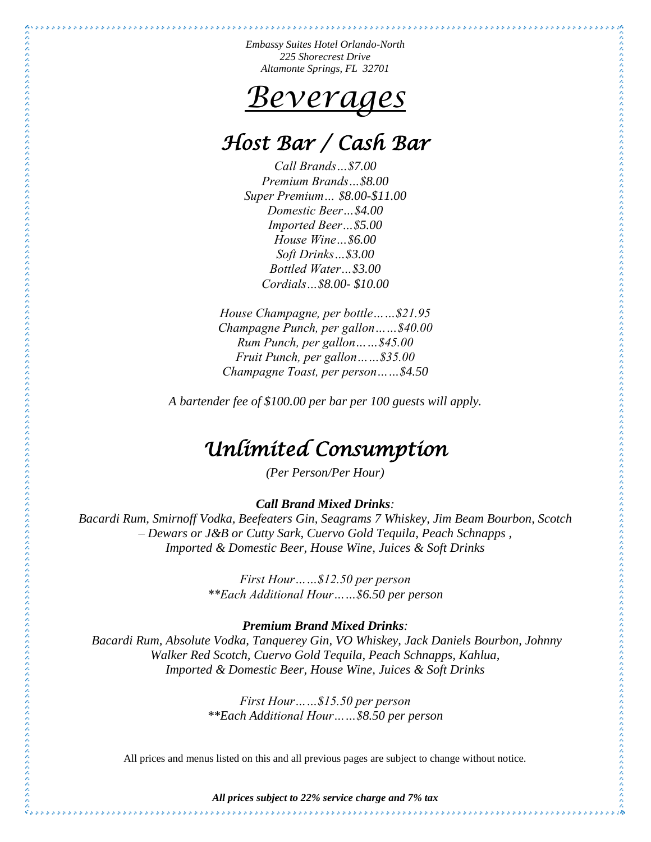# *Beverages*

# *Host Bar / Cash Bar*

*Call Brands…\$7.00 Premium Brands…\$8.00 Super Premium… \$8.00-\$11.00 Domestic Beer…\$4.00 Imported Beer…\$5.00 House Wine…\$6.00 Soft Drinks…\$3.00 Bottled Water…\$3.00 Cordials…\$8.00- \$10.00*

*House Champagne, per bottle……\$21.95 Champagne Punch, per gallon……\$40.00 Rum Punch, per gallon……\$45.00 Fruit Punch, per gallon……\$35.00 Champagne Toast, per person……\$4.50*

*A bartender fee of \$100.00 per bar per 100 guests will apply.*

# *Unlimited Consumption*

*(Per Person/Per Hour)*

## *Call Brand Mixed Drinks:*

*Bacardi Rum, Smirnoff Vodka, Beefeaters Gin, Seagrams 7 Whiskey, Jim Beam Bourbon, Scotch – Dewars or J&B or Cutty Sark, Cuervo Gold Tequila, Peach Schnapps , Imported & Domestic Beer, House Wine, Juices & Soft Drinks*

> *First Hour……\$12.50 per person \*\*Each Additional Hour……\$6.50 per person*

### *Premium Brand Mixed Drinks:*

*Bacardi Rum, Absolute Vodka, Tanquerey Gin, VO Whiskey, Jack Daniels Bourbon, Johnny Walker Red Scotch, Cuervo Gold Tequila, Peach Schnapps, Kahlua, Imported & Domestic Beer, House Wine, Juices & Soft Drinks*

> *First Hour……\$15.50 per person \*\*Each Additional Hour……\$8.50 per person*

All prices and menus listed on this and all previous pages are subject to change without notice.

*All prices subject to 22% service charge and 7% tax*